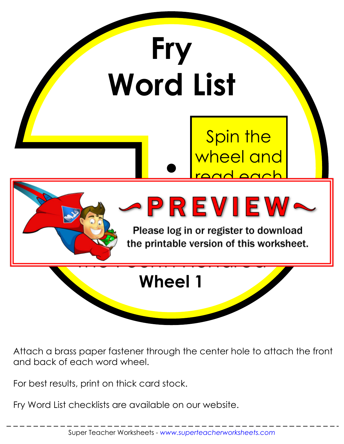

Attach a brass paper fastener through the center hole to attach the front and back of each word wheel.

For best results, print on thick card stock.

Fry Word List checklists are available on our website.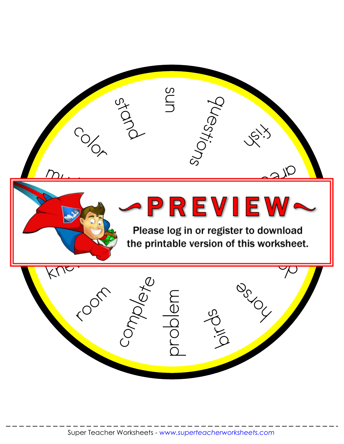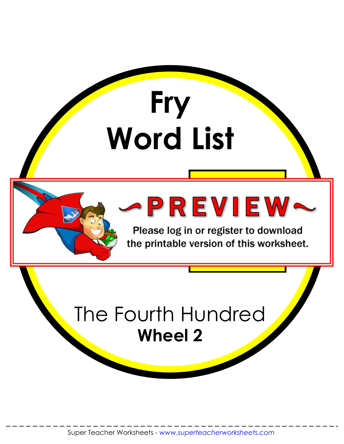

Please log in or register to download the printable version of this worksheet.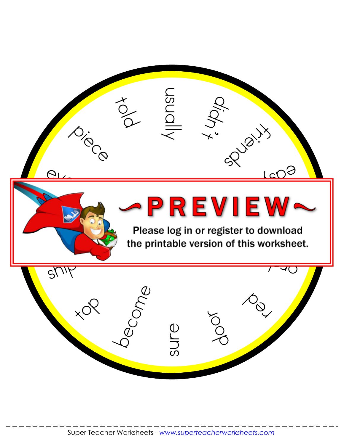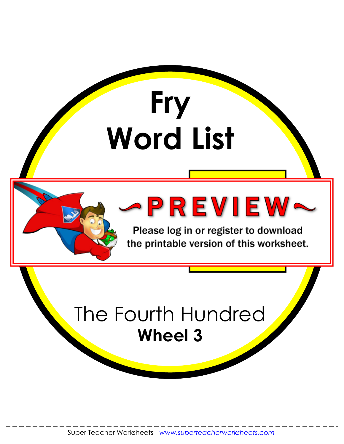

Please log in or register to download the printable version of this worksheet.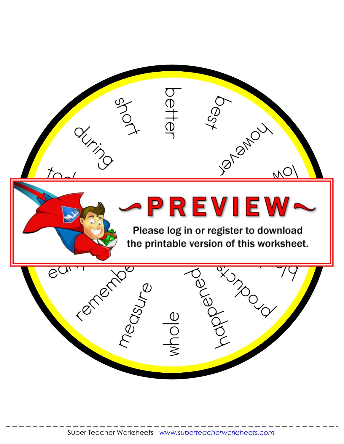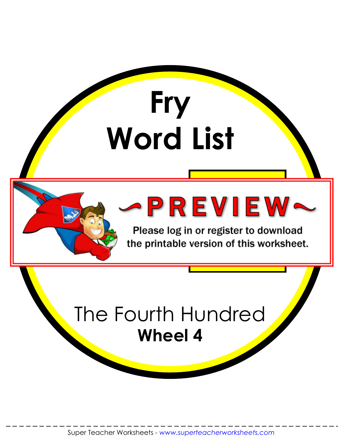

Please log in or register to download the printable version of this worksheet.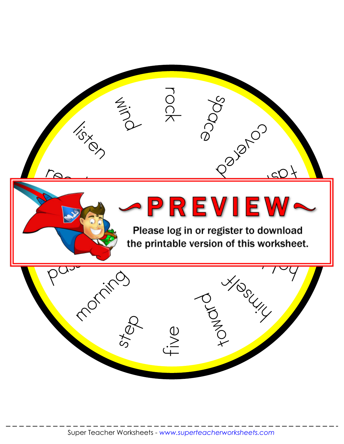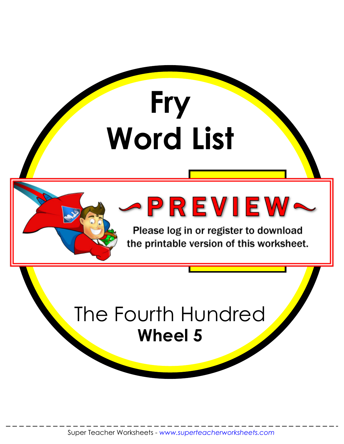

Please log in or register to download the printable version of this worksheet.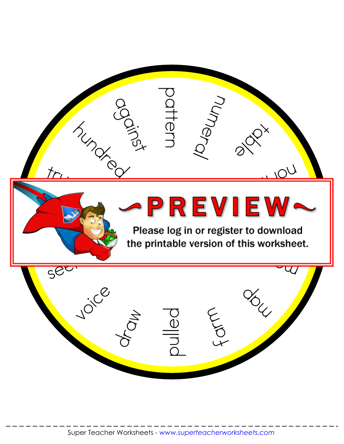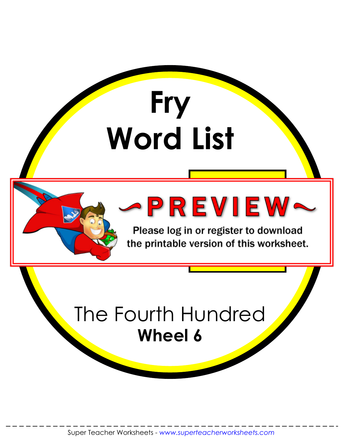

Please log in or register to download the printable version of this worksheet.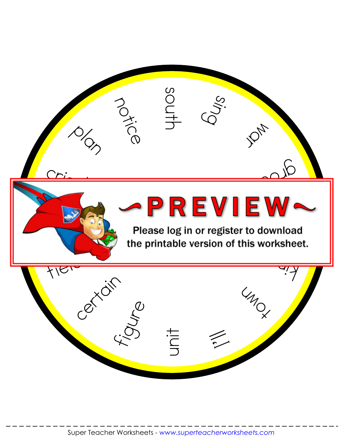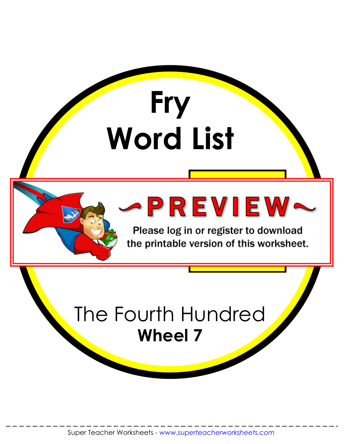

Please log in or register to download the printable version of this worksheet.